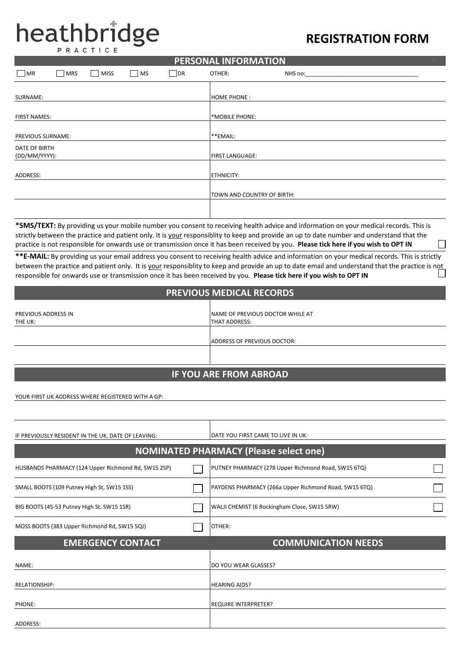# **heathbridge REGISTRATION FORM**

|                                |             |    |            | <u>I LINJOHAL INI OMNATION</u> |         |  |
|--------------------------------|-------------|----|------------|--------------------------------|---------|--|
| $\bigsqcup$ MR<br>$\vert$ MRS  | <b>MISS</b> | MS | $\vert$ DR | OTHER:                         | NHS no: |  |
| SURNAME:                       |             |    |            | <b>HOME PHONE:</b>             |         |  |
|                                |             |    |            |                                |         |  |
| <b>FIRST NAMES:</b>            |             |    |            | *MOBILE PHONE:                 |         |  |
| PREVIOUS SURNAME:              |             |    |            | **EMAIL:                       |         |  |
| DATE OF BIRTH<br>(DD/MM/YYYY): |             |    |            | <b>FIRST LANGUAGE:</b>         |         |  |
| ADDRESS:                       |             |    |            | <b>ETHNICITY:</b>              |         |  |
|                                |             |    |            | TOWN AND COUNTRY OF BIRTH:     |         |  |
|                                |             |    |            |                                |         |  |

**PERSONAL INFORMATION**

**\*SMS/TEXT:** By providing us your mobile number you consent to receiving health advice and information on your medical records. This is strictly between the practice and patient only. It is your responsiblity to keep and provide an up to date number and understand that the practice is not responsible for onwards use or transmission once it has been received by you. **Please tick here if you wish to OPT IN** 

**\*\*E-MAIL:** By providing us your email address you consent to receiving health advice and information on your medical records. This is strictly between the practice and patient only. It is your responsiblity to keep and provide an up to date email and understand that the practice is not responsible for onwards use or transmission once it has been received by you. **Please tick here if you wish to OPT IN** 

#### **PREVIOUS MEDICAL RECORDS**

| PREVIOUS ADDRESS IN | NAME OF PREVIOUS DOCTOR WHILE AT |  |  |
|---------------------|----------------------------------|--|--|
| THE UK:             | <b>THAT ADDRESS:</b>             |  |  |
|                     |                                  |  |  |
|                     | ADDRESS OF PREVIOUS DOCTOR:      |  |  |
|                     |                                  |  |  |
|                     |                                  |  |  |
|                     |                                  |  |  |
|                     | <b>IF YOU ARE FROM ABROAD</b>    |  |  |

YOUR FIRST UK ADDRESS WHERE REGISTERED WITH A GP:

| IF PREVIOUSLY RESIDENT IN THE UK, DATE OF LEAVING:  | DATE YOU FIRST CAME TO LIVE IN UK:                    |  |  |
|-----------------------------------------------------|-------------------------------------------------------|--|--|
|                                                     | <b>NOMINATED PHARMACY (Please select one)</b>         |  |  |
| HUSBANDS PHARMACY (124 Upper Richmond Rd, SW15 2SP) | PUTNEY PHARMACY (278 Upper Richmond Road, SW15 6TQ)   |  |  |
| SMALL BOOTS (109 Putney High St, SW15 1SS)          | PAYDENS PHARMACY (266a Upper Richmond Road, SW15 6TQ) |  |  |
| BIG BOOTS (45-53 Putney High St, SW15 1SR)          | WALJI CHEMIST (6 Rockingham Close, SW15 5RW)          |  |  |
| MOSS BOOTS (383 Upper Richmond Rd, SW15 5QJ)        | OTHER:                                                |  |  |
| <b>EMERGENCY CONTACT</b>                            | <b>COMMUNICATION NEEDS</b>                            |  |  |
| NAME:                                               | DO YOU WEAR GLASSES?                                  |  |  |
| <b>RELATIONSHIP:</b>                                | <b>HEARING AIDS?</b>                                  |  |  |
| PHONE:                                              | <b>REQUIRE INTERPRETER?</b>                           |  |  |
| ADDRESS:                                            |                                                       |  |  |
|                                                     |                                                       |  |  |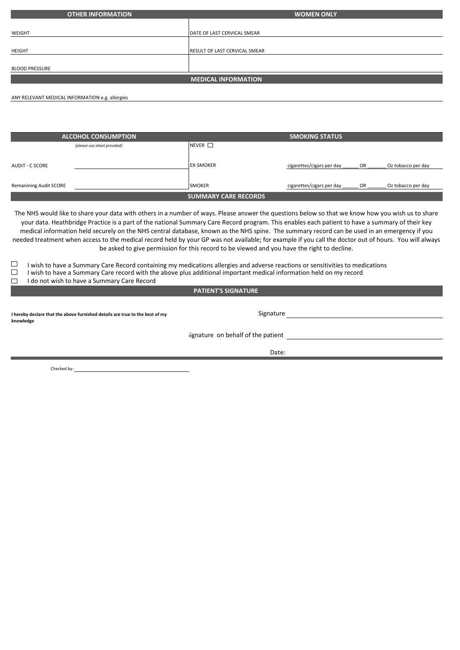| <b>OTHER INFORMATION</b> | <b>WOMEN ONLY</b>                    |
|--------------------------|--------------------------------------|
|                          |                                      |
| WEIGHT                   | DATE OF LAST CERVICAL SMEAR          |
| HEIGHT                   | <b>RESULT OF LAST CERVICAL SMEAR</b> |
|                          |                                      |
| <b>BLOOD PRESSURE</b>    |                                      |
|                          | <b>MEDICAL INFORMATION</b>           |
|                          |                                      |

ANY RELEVANT MEDICAL INFORMATION e.g. allergies

| <b>ALCOHOL CONSUMPTION</b>    | <b>SMOKING STATUS</b>       |                                                       |  |  |  |
|-------------------------------|-----------------------------|-------------------------------------------------------|--|--|--|
| (please use sheet provided)   | $NEVER$ $\Box$              |                                                       |  |  |  |
|                               |                             |                                                       |  |  |  |
| <b>AUDIT - C SCORE</b>        | <b>EX-SMOKER</b>            | cigarettes/cigars per day<br>OR<br>Oz tobacco per day |  |  |  |
|                               |                             |                                                       |  |  |  |
| <b>Remanining Audit SCORE</b> | <b>SMOKER</b>               | cigarettes/cigars per day<br>OR<br>Oz tobacco per day |  |  |  |
|                               | <b>SUMMARY CARE RECORDS</b> |                                                       |  |  |  |

The NHS would like to share your data with others in a number of ways. Please answer the questions below so that we know how you wish us to share your data. Heathbridge Practice is a part of the national Summary Care Record program. This enables each patient to have a summary of their key medical information held securely on the NHS central database, known as the NHS spine. The summary record can be used in an emergency if you needed treatment when access to the medical record held by your GP was not available; for example if you call the doctor out of hours. You will always be asked to give permission for this record to be viewed and you have the right to decline.

- $\Box$  I wish to have a Summary Care Record containing my medications allergies and adverse reactions or sensitivities to medications
- $\Box$  I wish to have a Summary Care record with the above plus additional important medical information held on my record
- □ I do not wish to have a Summary Care Record

**PATIENT'S SIGNATURE** 

**I hereby declare that the above furnished details are true to the best of my knowledge**

Signature on behalf of the patient

Date:

Signature and the state of the state of the state of the state of the state of the state of the state of the state of the state of the state of the state of the state of the state of the state of the state of the state of

Checked by: